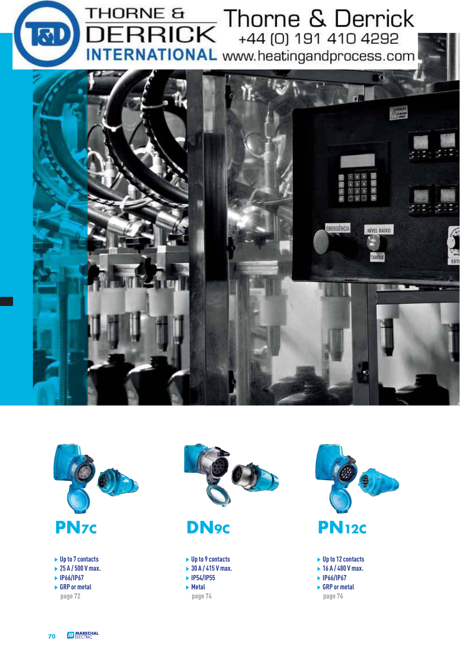



- **Up to 7 contacts**
- **25 A / 500 V max.**
- **IP66/IP67**
- **GRP or metal** page 72



- **Up to 9 contacts**
- **30 A / 415 V max.**
- **IP54/IP55**
- **Metal**
	- page 74



page 76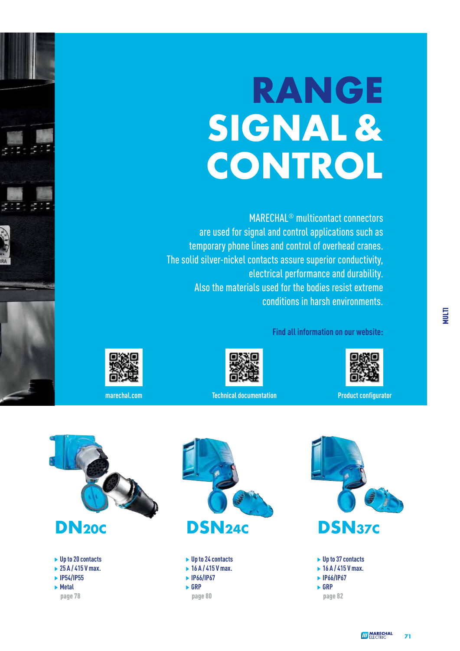## **RANGE SIGNAL & CONTROL**

 MARECHAL® multicontact connectors are used for signal and control applications such as temporary phone lines and control of overhead cranes. The solid silver-nickel contacts assure superior conductivity, electrical performance and durability. Also the materials used for the bodies resist extreme conditions in harsh environments.

**Find all information on our website:**



**Figure 2.1 Million Product configurator** Technical documentation **Product configurator** 







page 78



 **Up to 24 contacts 16 A / 415 V max.**

- **IP66/IP67**
- **GRP**

page 80

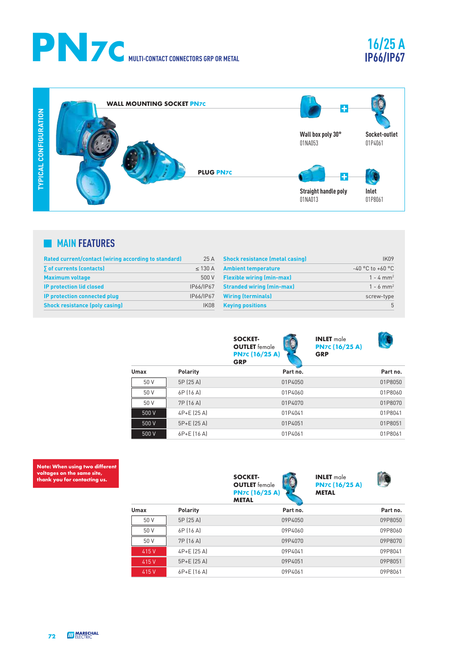

## **16/25 A IP66/IP67**

 $T_{\rm f}$ 



## **MAIN FEATURES**

| Rated current/contact (wiring according to standard) | 25 A         | <b>Shock resistance (metal casing)</b> | IK <sub>09</sub>        |
|------------------------------------------------------|--------------|----------------------------------------|-------------------------|
| $\sum$ of currents (contacts)                        | $\leq$ 130 A | <b>Ambient temperature</b>             | $-40$ °C to $+60$ °C    |
| <b>Maximum voltage</b>                               | 500 V        | <b>Flexible wiring (min-max)</b>       | $1 - 4$ mm <sup>2</sup> |
| <b>IP protection lid closed</b>                      | IP66/IP67    | <b>Stranded wiring (min-max)</b>       | $1 - 6$ mm <sup>2</sup> |
| IP protection connected plug                         | IP66/IP67    | <b>Wiring (terminals)</b>              | screw-type              |
| <b>Shock resistance (poly casing)</b>                | IK08         | <b>Keying positions</b>                | $\mathsf{h}$            |

|       |                 | <b>SOCKET-</b><br><b>OUTLET</b> female<br><b>PN7c (16/25 A)</b><br><b>GRP</b> | <b>INLET</b> male<br><b>PN7c (16/25 A)</b><br><b>GRP</b> |          |
|-------|-----------------|-------------------------------------------------------------------------------|----------------------------------------------------------|----------|
| Umax  | <b>Polarity</b> | Part no.                                                                      |                                                          | Part no. |
| 50 V  | 5P (25 A)       | 01P4050                                                                       |                                                          | 01P8050  |
| 50 V  | 6P (16 A)       | 01P4060                                                                       |                                                          | 01P8060  |
| 50 V  | 7P (16 A)       | 01P4070                                                                       |                                                          | 01P8070  |
| 500 V | 4P+E (25 A)     | 01P4041                                                                       |                                                          | 01P8041  |
| 500 V | 5P+E (25 A)     | 01P4051                                                                       |                                                          | 01P8051  |
| 500 V | 6P+E (16 A)     | 01P4061                                                                       |                                                          | 01P8061  |

**Allie** 

**Note: When using two different voltages on the same site, thank you for contacting us.**

|       |                 | <b>SOCKET-</b><br><b>OUTLET</b> female<br><b>PN7c (16/25 A)</b><br><b>METAL</b> | <b>INLET</b> male<br><b>PN7C (16/25 A)</b><br><b>METAL</b> |          |
|-------|-----------------|---------------------------------------------------------------------------------|------------------------------------------------------------|----------|
| Umax  | <b>Polarity</b> | Part no.                                                                        |                                                            | Part no. |
| 50 V  | 5P (25 A)       | 09P4050                                                                         |                                                            | 09P8050  |
| 50 V  | 6P (16 A)       | 09P4060                                                                         |                                                            | 09P8060  |
| 50 V  | 7P (16 A)       | 09P4070                                                                         |                                                            | 09P8070  |
| 415 V | 4P+E (25 A)     | 09P4041                                                                         |                                                            | 09P8041  |
| 415 V | 5P+E (25 A)     | 09P4051                                                                         |                                                            | 09P8051  |
| 415 V | 6P+E [16 A]     | 09P4061                                                                         |                                                            | 09P8061  |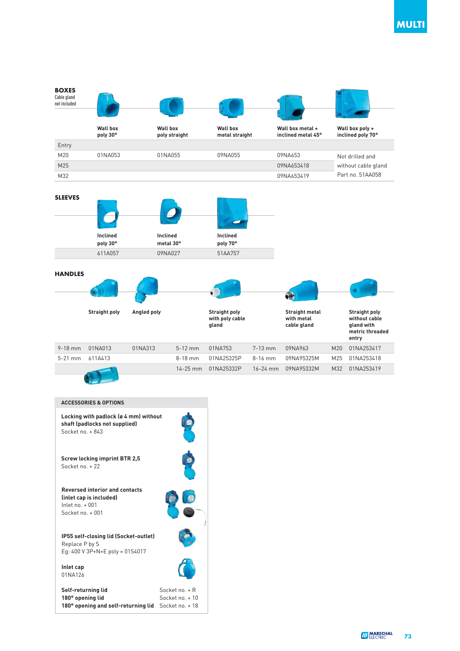

|                     |                     |          |         | 14-25 mm 01NA25332P           |               | 16-24 mm 09NA95332M | M32 01NA253419    |
|---------------------|---------------------|----------|---------|-------------------------------|---------------|---------------------|-------------------|
| $5-21$ mm $611A413$ |                     |          | 8-18 mm | 01NA25325P 8-16 mm 09NA95325M |               |                     | M25 01NA253418    |
|                     | 7-10 IIIIII UINAUIS | U INAJIJ |         | - 3-TZ HIIII - UTINAZIO       | 7 - 19 111111 | UYINAYOJ            | IVIZU UTINAZƏƏ4I7 |

| <b>ACCESSORIES &amp; OPTIONS</b>                                                                        |                                                      |
|---------------------------------------------------------------------------------------------------------|------------------------------------------------------|
| Locking with padlock (ø 4 mm) without<br>shaft (padlocks not supplied)<br>Socket no $+843$              |                                                      |
| <b>Screw locking imprint BTR 2.5</b><br>Socket no $+22$                                                 |                                                      |
| <b>Reversed interior and contacts</b><br>(inlet cap is included)<br>Inlet no $+001$<br>Socket no $+001$ |                                                      |
| IP55 self-closing lid (Socket-outlet)<br>Replace P by S<br>Eg: 400 V 3P+N+E poly = 01S4017              |                                                      |
| Inlet cap<br>01NA126                                                                                    |                                                      |
| Self-returning lid<br>180° opening lid<br>180° opening and self-returning lid                           | Socket no. + R<br>Socket no $+10$<br>Socket no. + 18 |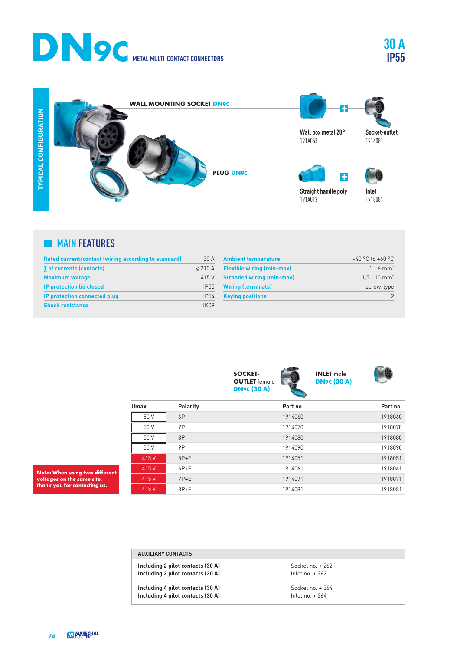



### **MAIN FEATURES**

| Rated current/contact (wiring according to standard) | 30A               |
|------------------------------------------------------|-------------------|
| $\sqrt{ }$ of currents (contacts)                    | $< 210 \text{ A}$ |
| <b>Maximum voltage</b>                               | 415 V             |
| <b>IP protection lid closed</b>                      | <b>IP55</b>       |
| <b>IP protection connected plug</b>                  | <b>IP54</b>       |
| <b>Shock resistance</b>                              | IK <sub>09</sub>  |

| $-40$ °C to $+60$ °C       |
|----------------------------|
| $1 - 6$ mm <sup>2</sup>    |
| $1.5 - 10$ mm <sup>2</sup> |
| screw-type                 |
|                            |
|                            |



**INLET** male **DN9C (30 A)**

**30 A IP55**

| Umax  | <b>Polarity</b> | Part no. | Part no. |
|-------|-----------------|----------|----------|
| 50 V  | 6P              | 1914060  | 1918060  |
| 50 V  | 7P              | 1914070  | 1918070  |
| 50 V  | 8P              | 1914080  | 1918080  |
| 50 V  | 9P              | 1914090  | 1918090  |
| 415 V | $5P+E$          | 1914051  | 1918051  |
| 415 V | $6P+E$          | 1914061  | 1918061  |
| 415 V | $7P+E$          | 1914071  | 1918071  |
| 415 V | $8P+E$          | 1914081  | 1918081  |

**Note: When using two different voltages on the same site, thank you for contacting us.**

|  | <b>AUXILIARY CONTACTS</b> |  |  |  |
|--|---------------------------|--|--|--|
|  |                           |  |  |  |

**Including 2 pilot contacts (30 A)** Socket no. + 262<br> **Including 2 pilot contacts (30 A) Socket no. + 262 Including 2 pilot contacts (30 A)** 

**Including 4 pilot contacts (30 A)** Socket no. + 264<br> **Including 4 pilot contacts (30 A) Socket no. + 264 Including 4 pilot contacts (30 A)**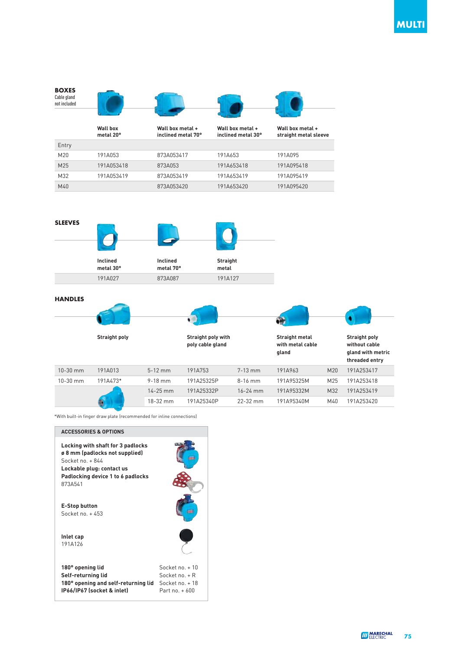



#### **HANDLES**

|              | <b>Straight poly</b> |              | Straight poly with<br>poly cable gland |              | <b>Straight metal</b><br>with metal cable<br>gland |     | <b>Straight poly</b><br>without cable<br>gland with metric<br>threaded entry |
|--------------|----------------------|--------------|----------------------------------------|--------------|----------------------------------------------------|-----|------------------------------------------------------------------------------|
| $10 - 30$ mm | 191A013              | $5 - 12$ mm  | 191A753                                | $7-13$ mm    | 191A963                                            | M20 | 191A253417                                                                   |
| $10 - 30$ mm | 191A473*             | $9 - 18$ mm  | 191A25325P                             | $8-16$ mm    | 191A95325M                                         | M25 | 191A253418                                                                   |
|              |                      | $14 - 25$ mm | 191A25332P                             | $16 - 24$ mm | 191A95332M                                         | M32 | 191A253419                                                                   |
|              |                      | 18-32 mm     | 191A25340P                             | $22 - 32$ mm | 191A95340M                                         | M40 | 191A253420                                                                   |

\*With built-in finger draw plate (recommended for inline connections)

| <b>ACCESSORIES &amp; OPTIONS</b>                                                                                                                                     |                                                                        |
|----------------------------------------------------------------------------------------------------------------------------------------------------------------------|------------------------------------------------------------------------|
| Locking with shaft for 3 padlocks<br>ø 8 mm (padlocks not supplied)<br>Socket no. + 844<br>Lockable plug: contact us<br>Padlocking device 1 to 6 padlocks<br>8734541 |                                                                        |
| <b>E-Stop button</b><br>Socket no $+453$                                                                                                                             |                                                                        |
| Inlet cap<br>191A126                                                                                                                                                 |                                                                        |
| 180° opening lid<br>Self-returning lid<br>180° opening and self-returning lid<br>IP66/IP67 (socket & inlet)                                                          | Socket no $+10$<br>Socket no $+R$<br>Socket no. + 18<br>Part no $+600$ |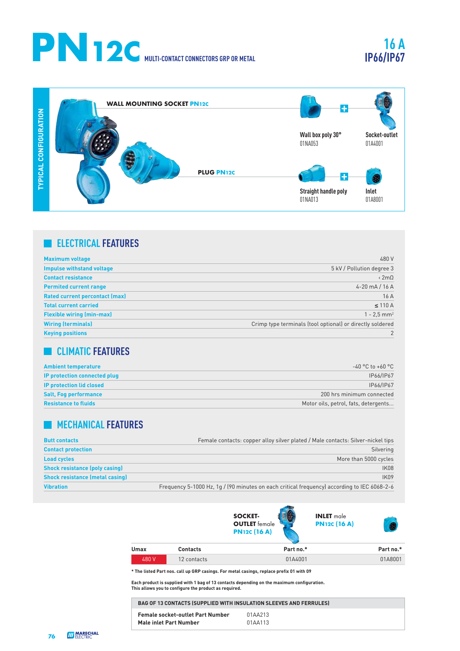# **PN12C MULTI-CONTACT CONNECTORS GRP OR METAL**

## **16 A IP66/IP67**



## **ELECTRICAL FEATURES**

| <b>Maximum voltage</b>                | 480 V                                                     |
|---------------------------------------|-----------------------------------------------------------|
| <b>Impulse withstand voltage</b>      | 5 kV / Pollution degree 3                                 |
| <b>Contact resistance</b>             | $\langle 2m\Omega$                                        |
| <b>Permited current range</b>         | $4 - 20$ mA $/ 16$ A                                      |
| <b>Rated current percontact (max)</b> | 16A                                                       |
| <b>Total current carried</b>          | $\leq$ 110 A                                              |
| <b>Flexible wiring (min-max)</b>      | $1 - 2.5$ mm <sup>2</sup>                                 |
| <b>Wiring (terminals)</b>             | Crimp type terminals (tool optional) or directly soldered |
| <b>Keying positions</b>               |                                                           |

## **CLIMATIC FEATURES**

| <b>Ambient temperature</b>           | $-40$ °C to $+60$ °C                 |
|--------------------------------------|--------------------------------------|
| <b>IP protection connected plug-</b> | IP66/IP67                            |
| <b>IP protection lid closed</b>      | IP66/IP67                            |
| <b>Salt, Fog performance</b>         | 200 hrs minimum connected            |
| <b>Resistance to fluids</b>          | Motor oils, petrol, fats, detergents |

## **MECHANICAL FEATURES**

| <b>Butt contacts</b>                   | Female contacts: copper alloy silver plated / Male contacts: Silver-nickel tips             |
|----------------------------------------|---------------------------------------------------------------------------------------------|
| <b>Contact protection</b>              | Silvering                                                                                   |
| <b>Load cycles</b>                     | More than 5000 cycles                                                                       |
| <b>Shock resistance (poly casing)</b>  | IK08                                                                                        |
| <b>Shock resistance (metal casing)</b> | <b>IK09</b>                                                                                 |
| <b>Vibration</b>                       | Frequency 5-1000 Hz, 1g / (90 minutes on each critical frequency) according to IEC 6068-2-6 |







| <b>Umax</b> | <b>Contacts</b> | Part no.* | Part no.* |
|-------------|-----------------|-----------|-----------|
| 480 V       | 12 contacts     | 01A4001   | 01A8001   |

 **\* The listed Part nos. call up GRP casings. For metal casings, replace prefix 01 with 09** 

**Each product is supplied with 1 bag of 13 contacts depending on the maximum configuration. This allows you to configure the product as required.**

| <b>BAG OF 13 CONTACTS (SUPPLIED WITH INSULATION SLEEVES AND FERRULES)</b> |         |
|---------------------------------------------------------------------------|---------|
| <b>Female socket-outlet Part Number</b>                                   | 01AA213 |
| Male inlet Part Number                                                    | 01AA113 |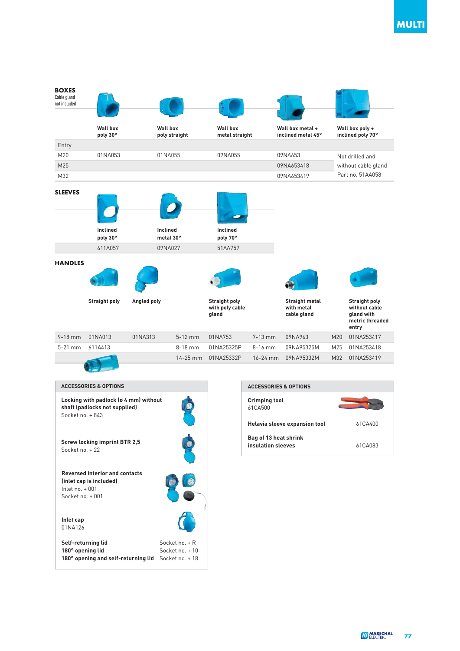

| <b>ACCESSORIES &amp; OPTIONS</b>                                                                         |                                                      |
|----------------------------------------------------------------------------------------------------------|------------------------------------------------------|
| Locking with padlock (ø 4 mm) without<br>shaft (padlocks not supplied)<br>Socket no $+843$               |                                                      |
| <b>Screw locking imprint BTR 2,5</b><br>Socket no $+22$                                                  |                                                      |
| <b>Reversed interior and contacts</b><br>(inlet cap is included)<br>$lnlet no + 001$<br>Socket no $+001$ |                                                      |
| Inlet cap<br>01NA126                                                                                     |                                                      |
| Self-returning lid<br>180° opening lid<br>180° opening and self-returning lid                            | Socket no $+R$<br>Socket no $+10$<br>Socket no $+18$ |

| <b>ACCESSORIES &amp; OPTIONS</b>            |         |
|---------------------------------------------|---------|
| <b>Crimping tool</b><br>61CA500             |         |
| Helavia sleeve expansion tool               | 61CA400 |
| Bag of 13 heat shrink<br>insulation sleeves | 61CA083 |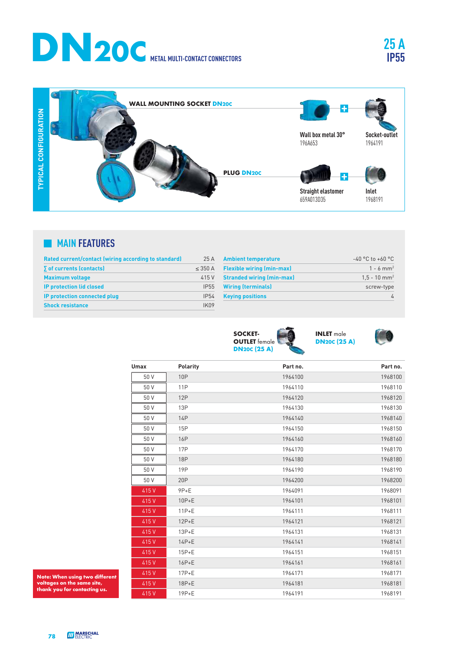



### **MAIN FEATURES**

| Rated current/contact (wiring according to standard) | 25A              |
|------------------------------------------------------|------------------|
| $\sqrt{ }$ of currents (contacts)                    | $<$ 350 A        |
| <b>Maximum voltage</b>                               | 415 V            |
| <b>IP protection lid closed</b>                      | <b>IP55</b>      |
| <b>IP protection connected plug</b>                  | <b>IP54</b>      |
| <b>Shock resistance</b>                              | IK <sub>n9</sub> |

| <b>Ambient temperature</b>       | $-40$ °C to $+60$ °C       |
|----------------------------------|----------------------------|
| <b>Flexible wiring (min-max)</b> | $1 - 6$ mm <sup>2</sup>    |
| <b>Stranded wiring (min-max)</b> | $1.5 - 10$ mm <sup>2</sup> |
| <b>Wiring (terminals)</b>        | screw-type                 |
| <b>Keying positions</b>          |                            |





ro

| <b>Umax</b> | <b>Polarity</b> | Part no. | Part no. |
|-------------|-----------------|----------|----------|
| 50 V        | <b>10P</b>      | 1964100  | 1968100  |
| 50 V        | <b>11P</b>      | 1964110  | 1968110  |
| 50 V        | 12P             | 1964120  | 1968120  |
| 50 V        | <b>13P</b>      | 1964130  | 1968130  |
| 50 V        | 14P             | 1964140  | 1968140  |
| 50 V        | 15P             | 1964150  | 1968150  |
| 50 V        | <b>16P</b>      | 1964160  | 1968160  |
| 50 V        | <b>17P</b>      | 1964170  | 1968170  |
| 50 V        | <b>18P</b>      | 1964180  | 1968180  |
| 50 V        | <b>19P</b>      | 1964190  | 1968190  |
| 50 V        | 20P             | 1964200  | 1968200  |
| 415V        | $9P+E$          | 1964091  | 1968091  |
| 415V        | $10P+E$         | 1964101  | 1968101  |
| 415V        | $11P+E$         | 1964111  | 1968111  |
| 415V        | $12P+E$         | 1964121  | 1968121  |
| 415V        | $13P+E$         | 1964131  | 1968131  |
| 415V        | $14P+E$         | 1964141  | 1968141  |
| 415V        | $15P+E$         | 1964151  | 1968151  |
| 415V        | $16P+E$         | 1964161  | 1968161  |
| 415V        | $17P+E$         | 1964171  | 1968171  |
| 415V        | $18P+E$         | 1964181  | 1968181  |
| 415V        | $19P+E$         | 1964191  | 1968191  |

**Note: When using two different voltages on the same site, thank you for contacting us.**



**25 A**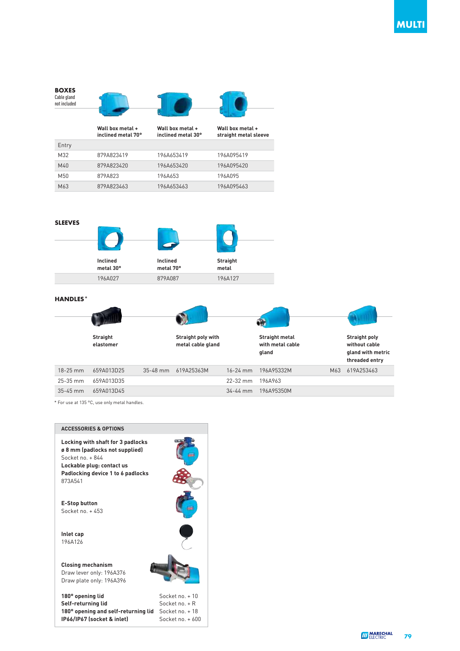



#### **HANDLES\***



\* For use at 135 °C, use only metal handles.

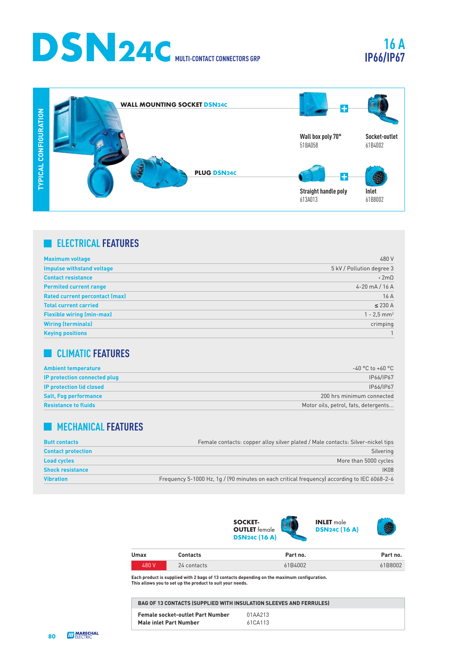

## **16 A IP66/IP67**



## **ELECTRICAL FEATURES**

| <b>Maximum voltage</b>                | 480 V                     |
|---------------------------------------|---------------------------|
| <b>Impulse withstand voltage</b>      | 5 kV / Pollution degree 3 |
| <b>Contact resistance</b>             | $\langle 2m\Omega$        |
| <b>Permited current range</b>         | 4-20 mA $/$ 16 A          |
| <b>Rated current percontact (max)</b> | 16A                       |
| <b>Total current carried</b>          | $\leq$ 230 A              |
| <b>Flexible wiring (min-max)</b>      | $1 - 2.5$ mm <sup>2</sup> |
| <b>Wiring (terminals)</b>             | crimping                  |
| <b>Keying positions</b>               |                           |

## **CLIMATIC FEATURES**

| <b>Ambient temperature</b>      | $-40$ °C to +60 °C                   |
|---------------------------------|--------------------------------------|
| IP protection connected plug    | IP66/IP67                            |
| <b>IP protection lid closed</b> | IP66/IP67                            |
| <b>Salt, Fog performance</b>    | 200 hrs minimum connected            |
| <b>Resistance to fluids</b>     | Motor oils, petrol, fats, detergents |

## **MECHANICAL FEATURES**

| <b>Butt contacts</b>      | Female contacts: copper alloy silver plated / Male contacts: Silver-nickel tips             |
|---------------------------|---------------------------------------------------------------------------------------------|
| <b>Contact protection</b> | Silvering                                                                                   |
| <b>Load cycles</b>        | More than 5000 cycles                                                                       |
| <b>Shock resistance</b>   | <b>IK08</b>                                                                                 |
| <b>Vibration</b>          | Frequency 5-1000 Hz, 1g / (90 minutes on each critical frequency) according to IEC 6068-2-6 |



| Umax  | Contacts    | Part no. | Part no. |
|-------|-------------|----------|----------|
| 480 V | 24 contacts | 61B4002  | 61B8002  |

**Each product is supplied with 2 bags of 13 contacts depending on the maximum configuration. This allows you to set up the product to suit your needs.**

| <b>BAG OF 13 CONTACTS (SUPPLIED WITH INSULATION SLEEVES AND FERRULES)</b> |         |  |
|---------------------------------------------------------------------------|---------|--|
| <b>Female socket-outlet Part Number</b>                                   | 01AA213 |  |
| Male inlet Part Number                                                    | 61CA113 |  |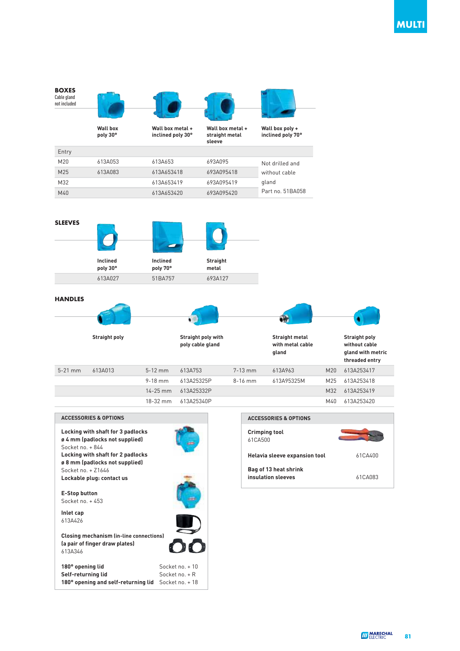



| <b>ACCESSORIES &amp; OPTIONS</b>                                                                                                                                                     |                 |
|--------------------------------------------------------------------------------------------------------------------------------------------------------------------------------------|-----------------|
| Locking with shaft for 3 padlocks<br>ø 4 mm (padlocks not supplied)<br>Socket no. + 844<br>Locking with shaft for 2 padlocks<br>ø 8 mm (padlocks not supplied)<br>Socket no $+71646$ |                 |
| Lockable plug: contact us                                                                                                                                                            |                 |
| <b>E-Stop button</b><br>Socket no $+453$<br>Inlet cap                                                                                                                                |                 |
| 613A426                                                                                                                                                                              |                 |
| <b>Closing mechanism (in-line connections)</b><br>(a pair of finger draw plates)<br>613A346                                                                                          |                 |
| 180° opening lid                                                                                                                                                                     | Socket no $+10$ |
| Self-returning lid                                                                                                                                                                   | Socket no $+R$  |
| 180° opening and self-returning lid                                                                                                                                                  | Socket no. + 18 |

| <b>ACCESSORIES &amp; OPTIONS</b>            |         |  |  |
|---------------------------------------------|---------|--|--|
| <b>Crimping tool</b><br>61CA500             |         |  |  |
| Helavia sleeve expansion tool               | 61CA400 |  |  |
| Bag of 13 heat shrink<br>insulation sleeves | 61CA083 |  |  |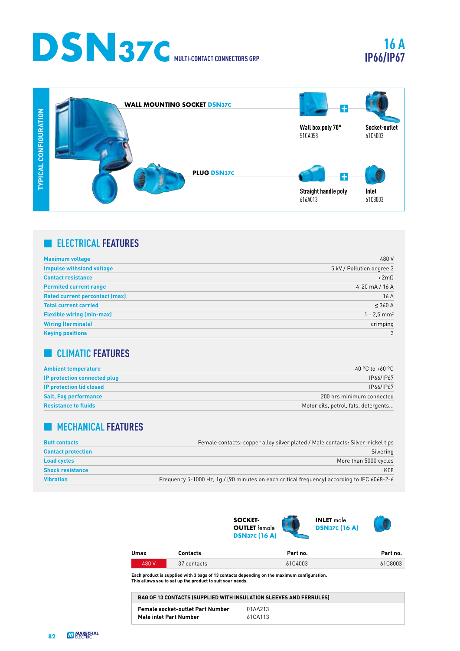## **DSN37C MULTI-CONTACT CONNECTORS GRP**

## **16 A IP66/IP67**



## **ELECTRICAL FEATURES**

| <b>Maximum voltage</b>                | 480 V                     |
|---------------------------------------|---------------------------|
| <b>Impulse withstand voltage</b>      | 5 kV / Pollution degree 3 |
| <b>Contact resistance</b>             | $\langle 2m\Omega$        |
| <b>Permited current range</b>         | 4-20 mA / 16 A            |
| <b>Rated current percontact (max)</b> | 16 A                      |
| <b>Total current carried</b>          | $\leq$ 360 A              |
| <b>Flexible wiring (min-max)</b>      | $1 - 2.5$ mm <sup>2</sup> |
| <b>Wiring (terminals)</b>             | crimping                  |
| <b>Keying positions</b>               | 3                         |

## **CLIMATIC FEATURES**

| <b>Ambient temperature</b>      | -40 °C to +60 °C                     |
|---------------------------------|--------------------------------------|
| IP protection connected plug    | IP66/IP67                            |
| <b>IP protection lid closed</b> | IP66/IP67                            |
| <b>Salt, Fog performance</b>    | 200 hrs minimum connected            |
| <b>Resistance to fluids</b>     | Motor oils, petrol, fats, detergents |

## **MECHANICAL FEATURES**

| <b>Butt contacts</b>      | Female contacts: copper alloy silver plated / Male contacts: Silver-nickel tips             |
|---------------------------|---------------------------------------------------------------------------------------------|
| <b>Contact protection</b> | Silvering                                                                                   |
| <b>Load cycles</b>        | More than 5000 cycles                                                                       |
| <b>Shock resistance</b>   | <b>IK08</b>                                                                                 |
| <b>Vibration</b>          | Frequency 5-1000 Hz, 1g / (90 minutes on each critical frequency) according to IEC 6068-2-6 |



| Umax  | Contacts    | Part no. | Part no. |
|-------|-------------|----------|----------|
| 480 V | 37 contacts | 61C4003  | 61C8003  |

**Each product is supplied with 3 bags of 13 contacts depending on the maximum configuration. This allows you to set up the product to suit your needs.**

| <b>BAG OF 13 CONTACTS (SUPPLIED WITH INSULATION SLEEVES AND FERRULES)</b> |         |  |
|---------------------------------------------------------------------------|---------|--|
| <b>Female socket-outlet Part Number</b>                                   | 01AA213 |  |
| <b>Male inlet Part Number</b>                                             | 61CA113 |  |